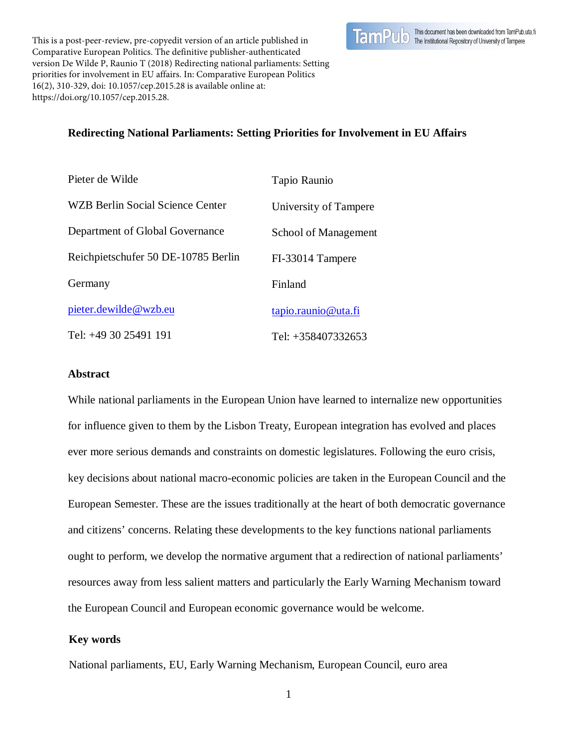

This is a post-peer-review, pre-copyedit version of an article published in Comparative European Politics. The definitive publisher-authenticated version De Wilde P, Raunio T (2018) Redirecting national parliaments: Setting priorities for involvement in EU affairs. In: Comparative European Politics 16(2), 310-329, doi: 10.1057/cep.2015.28 is available online at: https://doi.org/10.1057/cep.2015.28.

# **Redirecting National Parliaments: Setting Priorities for Involvement in EU Affairs**

| Pieter de Wilde                         | Tapio Raunio           |  |
|-----------------------------------------|------------------------|--|
| <b>WZB Berlin Social Science Center</b> | University of Tampere  |  |
| Department of Global Governance         | School of Management   |  |
| Reichpietschufer 50 DE-10785 Berlin     | FI-33014 Tampere       |  |
| Germany                                 | Finland                |  |
| pieter.dewilde@wzb.eu                   | $tanio$ .raunio@uta.fi |  |
| Tel: $+493025491191$                    | Tel: +358407332653     |  |

### **Abstract**

While national parliaments in the European Union have learned to internalize new opportunities for influence given to them by the Lisbon Treaty, European integration has evolved and places ever more serious demands and constraints on domestic legislatures. Following the euro crisis, key decisions about national macro-economic policies are taken in the European Council and the European Semester. These are the issues traditionally at the heart of both democratic governance and citizens' concerns. Relating these developments to the key functions national parliaments ought to perform, we develop the normative argument that a redirection of national parliaments' resources away from less salient matters and particularly the Early Warning Mechanism toward the European Council and European economic governance would be welcome.

## **Key words**

National parliaments, EU, Early Warning Mechanism, European Council, euro area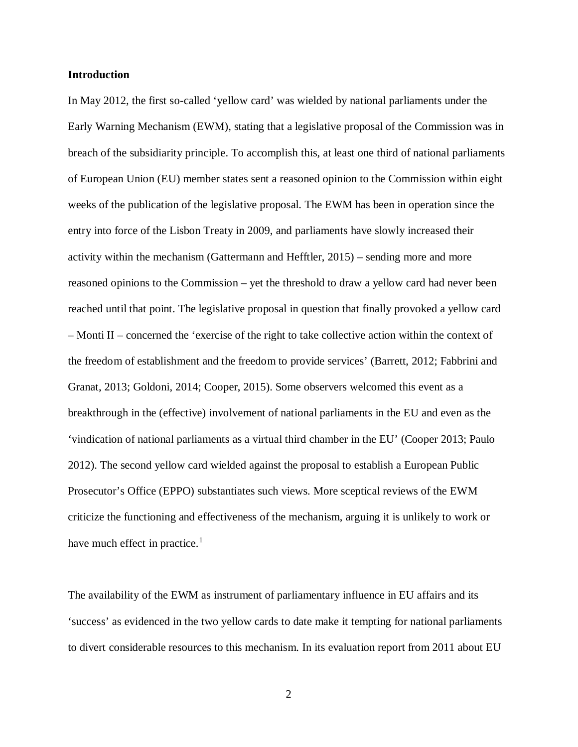#### **Introduction**

In May 2012, the first so-called 'yellow card' was wielded by national parliaments under the Early Warning Mechanism (EWM), stating that a legislative proposal of the Commission was in breach of the subsidiarity principle. To accomplish this, at least one third of national parliaments of European Union (EU) member states sent a reasoned opinion to the Commission within eight weeks of the publication of the legislative proposal. The EWM has been in operation since the entry into force of the Lisbon Treaty in 2009, and parliaments have slowly increased their activity within the mechanism (Gattermann and Hefftler, 2015) – sending more and more reasoned opinions to the Commission – yet the threshold to draw a yellow card had never been reached until that point. The legislative proposal in question that finally provoked a yellow card – Monti II – concerned the 'exercise of the right to take collective action within the context of the freedom of establishment and the freedom to provide services' (Barrett, 2012; Fabbrini and Granat, 2013; Goldoni, 2014; Cooper, 2015). Some observers welcomed this event as a breakthrough in the (effective) involvement of national parliaments in the EU and even as the 'vindication of national parliaments as a virtual third chamber in the EU' (Cooper 2013; Paulo 2012). The second yellow card wielded against the proposal to establish a European Public Prosecutor's Office (EPPO) substantiates such views. More sceptical reviews of the EWM criticize the functioning and effectiveness of the mechanism, arguing it is unlikely to work or have much effect in practice. $<sup>1</sup>$  $<sup>1</sup>$  $<sup>1</sup>$ </sup>

The availability of the EWM as instrument of parliamentary influence in EU affairs and its 'success' as evidenced in the two yellow cards to date make it tempting for national parliaments to divert considerable resources to this mechanism. In its evaluation report from 2011 about EU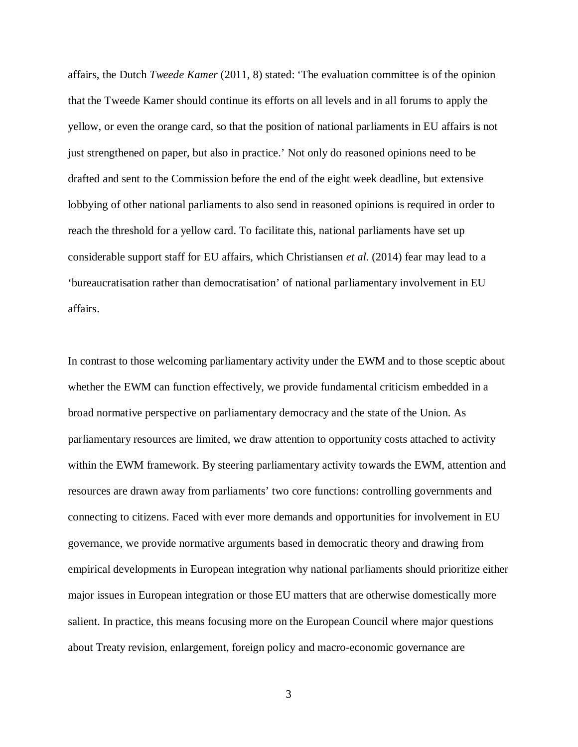affairs, the Dutch *Tweede Kamer* (2011, 8) stated: 'The evaluation committee is of the opinion that the Tweede Kamer should continue its efforts on all levels and in all forums to apply the yellow, or even the orange card, so that the position of national parliaments in EU affairs is not just strengthened on paper, but also in practice.' Not only do reasoned opinions need to be drafted and sent to the Commission before the end of the eight week deadline, but extensive lobbying of other national parliaments to also send in reasoned opinions is required in order to reach the threshold for a yellow card. To facilitate this, national parliaments have set up considerable support staff for EU affairs, which Christiansen *et al.* (2014) fear may lead to a 'bureaucratisation rather than democratisation' of national parliamentary involvement in EU affairs.

In contrast to those welcoming parliamentary activity under the EWM and to those sceptic about whether the EWM can function effectively, we provide fundamental criticism embedded in a broad normative perspective on parliamentary democracy and the state of the Union. As parliamentary resources are limited, we draw attention to opportunity costs attached to activity within the EWM framework. By steering parliamentary activity towards the EWM, attention and resources are drawn away from parliaments' two core functions: controlling governments and connecting to citizens. Faced with ever more demands and opportunities for involvement in EU governance, we provide normative arguments based in democratic theory and drawing from empirical developments in European integration why national parliaments should prioritize either major issues in European integration or those EU matters that are otherwise domestically more salient. In practice, this means focusing more on the European Council where major questions about Treaty revision, enlargement, foreign policy and macro-economic governance are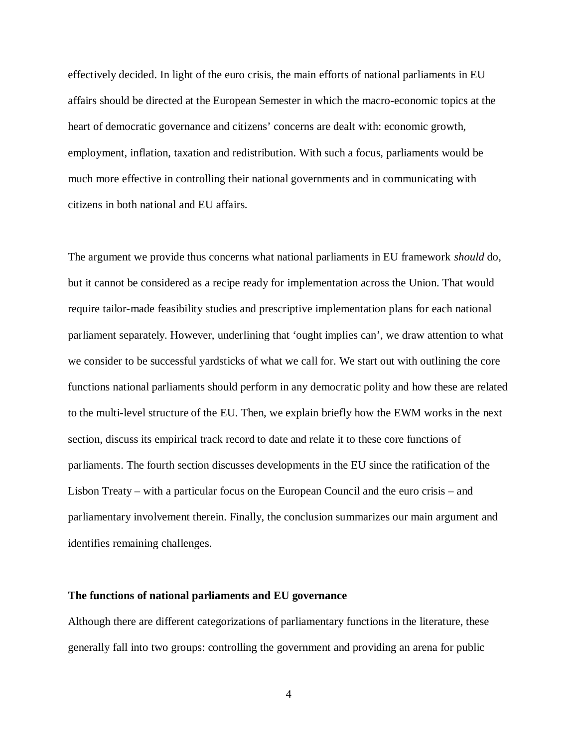effectively decided. In light of the euro crisis, the main efforts of national parliaments in EU affairs should be directed at the European Semester in which the macro-economic topics at the heart of democratic governance and citizens' concerns are dealt with: economic growth, employment, inflation, taxation and redistribution. With such a focus, parliaments would be much more effective in controlling their national governments and in communicating with citizens in both national and EU affairs.

The argument we provide thus concerns what national parliaments in EU framework *should* do, but it cannot be considered as a recipe ready for implementation across the Union. That would require tailor-made feasibility studies and prescriptive implementation plans for each national parliament separately. However, underlining that 'ought implies can', we draw attention to what we consider to be successful yardsticks of what we call for. We start out with outlining the core functions national parliaments should perform in any democratic polity and how these are related to the multi-level structure of the EU. Then, we explain briefly how the EWM works in the next section, discuss its empirical track record to date and relate it to these core functions of parliaments. The fourth section discusses developments in the EU since the ratification of the Lisbon Treaty – with a particular focus on the European Council and the euro crisis – and parliamentary involvement therein. Finally, the conclusion summarizes our main argument and identifies remaining challenges.

#### **The functions of national parliaments and EU governance**

Although there are different categorizations of parliamentary functions in the literature, these generally fall into two groups: controlling the government and providing an arena for public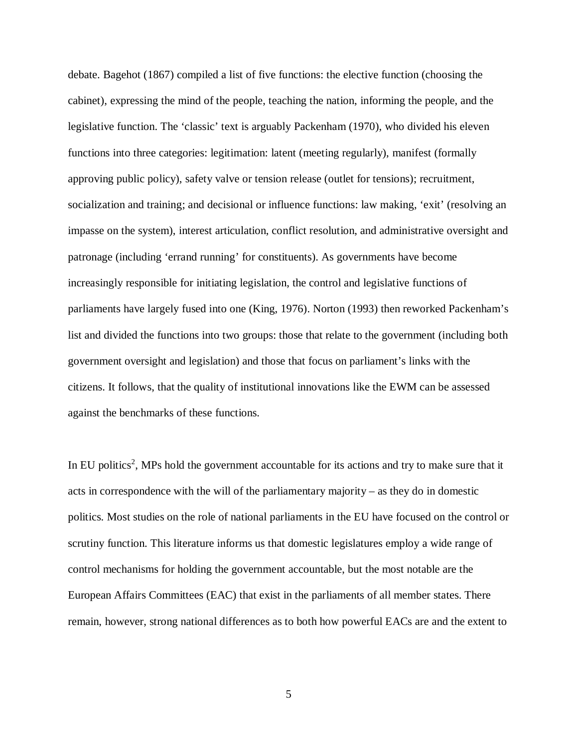debate. Bagehot (1867) compiled a list of five functions: the elective function (choosing the cabinet), expressing the mind of the people, teaching the nation, informing the people, and the legislative function. The 'classic' text is arguably Packenham (1970), who divided his eleven functions into three categories: legitimation: latent (meeting regularly), manifest (formally approving public policy), safety valve or tension release (outlet for tensions); recruitment, socialization and training; and decisional or influence functions: law making, 'exit' (resolving an impasse on the system), interest articulation, conflict resolution, and administrative oversight and patronage (including 'errand running' for constituents). As governments have become increasingly responsible for initiating legislation, the control and legislative functions of parliaments have largely fused into one (King, 1976). Norton (1993) then reworked Packenham's list and divided the functions into two groups: those that relate to the government (including both government oversight and legislation) and those that focus on parliament's links with the citizens. It follows, that the quality of institutional innovations like the EWM can be assessed against the benchmarks of these functions.

In EU politics<sup>[2](#page-23-1)</sup>, MPs hold the government accountable for its actions and try to make sure that it acts in correspondence with the will of the parliamentary majority – as they do in domestic politics. Most studies on the role of national parliaments in the EU have focused on the control or scrutiny function. This literature informs us that domestic legislatures employ a wide range of control mechanisms for holding the government accountable, but the most notable are the European Affairs Committees (EAC) that exist in the parliaments of all member states. There remain, however, strong national differences as to both how powerful EACs are and the extent to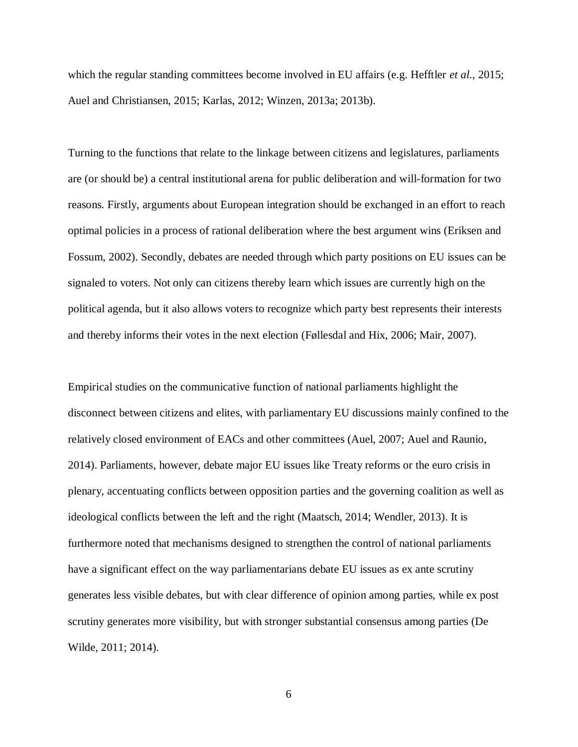which the regular standing committees become involved in EU affairs (e.g. Hefftler *et al.*, 2015; Auel and Christiansen, 2015; Karlas, 2012; Winzen, 2013a; 2013b).

Turning to the functions that relate to the linkage between citizens and legislatures, parliaments are (or should be) a central institutional arena for public deliberation and will-formation for two reasons. Firstly, arguments about European integration should be exchanged in an effort to reach optimal policies in a process of rational deliberation where the best argument wins (Eriksen and Fossum, 2002). Secondly, debates are needed through which party positions on EU issues can be signaled to voters. Not only can citizens thereby learn which issues are currently high on the political agenda, but it also allows voters to recognize which party best represents their interests and thereby informs their votes in the next election (Føllesdal and Hix, 2006; Mair, 2007).

Empirical studies on the communicative function of national parliaments highlight the disconnect between citizens and elites, with parliamentary EU discussions mainly confined to the relatively closed environment of EACs and other committees (Auel, 2007; Auel and Raunio, 2014). Parliaments, however, debate major EU issues like Treaty reforms or the euro crisis in plenary, accentuating conflicts between opposition parties and the governing coalition as well as ideological conflicts between the left and the right (Maatsch, 2014; Wendler, 2013). It is furthermore noted that mechanisms designed to strengthen the control of national parliaments have a significant effect on the way parliamentarians debate EU issues as ex ante scrutiny generates less visible debates, but with clear difference of opinion among parties, while ex post scrutiny generates more visibility, but with stronger substantial consensus among parties (De Wilde, 2011; 2014).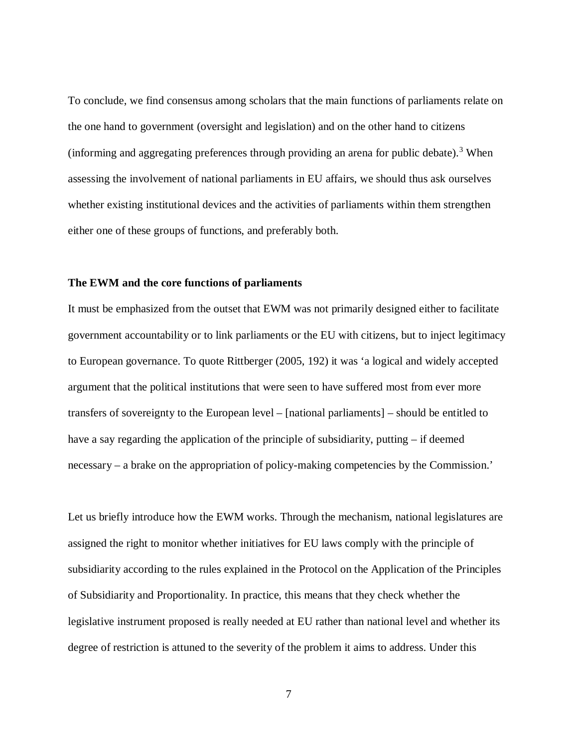To conclude, we find consensus among scholars that the main functions of parliaments relate on the one hand to government (oversight and legislation) and on the other hand to citizens (informing and aggregating preferences through providing an arena for public debate).<sup>[3](#page-24-0)</sup> When assessing the involvement of national parliaments in EU affairs, we should thus ask ourselves whether existing institutional devices and the activities of parliaments within them strengthen either one of these groups of functions, and preferably both.

#### **The EWM and the core functions of parliaments**

It must be emphasized from the outset that EWM was not primarily designed either to facilitate government accountability or to link parliaments or the EU with citizens, but to inject legitimacy to European governance. To quote Rittberger (2005, 192) it was 'a logical and widely accepted argument that the political institutions that were seen to have suffered most from ever more transfers of sovereignty to the European level – [national parliaments] – should be entitled to have a say regarding the application of the principle of subsidiarity, putting – if deemed necessary – a brake on the appropriation of policy-making competencies by the Commission.'

Let us briefly introduce how the EWM works. Through the mechanism, national legislatures are assigned the right to monitor whether initiatives for EU laws comply with the principle of subsidiarity according to the rules explained in the Protocol on the Application of the Principles of Subsidiarity and Proportionality. In practice, this means that they check whether the legislative instrument proposed is really needed at EU rather than national level and whether its degree of restriction is attuned to the severity of the problem it aims to address. Under this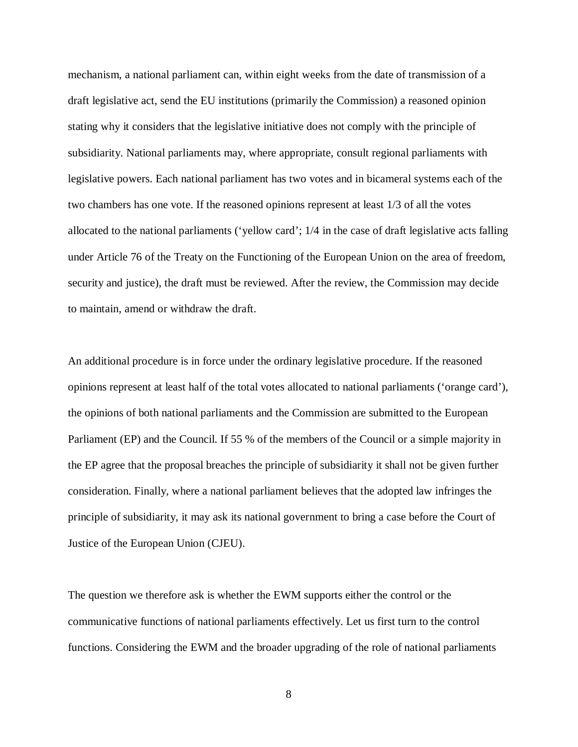mechanism, a national parliament can, within eight weeks from the date of transmission of a draft legislative act, send the EU institutions (primarily the Commission) a reasoned opinion stating why it considers that the legislative initiative does not comply with the principle of subsidiarity. National parliaments may, where appropriate, consult regional parliaments with legislative powers. Each national parliament has two votes and in bicameral systems each of the two chambers has one vote. If the reasoned opinions represent at least 1/3 of all the votes allocated to the national parliaments ('yellow card'; 1/4 in the case of draft legislative acts falling under Article 76 of the Treaty on the Functioning of the European Union on the area of freedom, security and justice), the draft must be reviewed. After the review, the Commission may decide to maintain, amend or withdraw the draft.

An additional procedure is in force under the ordinary legislative procedure. If the reasoned opinions represent at least half of the total votes allocated to national parliaments ('orange card'), the opinions of both national parliaments and the Commission are submitted to the European Parliament (EP) and the Council. If 55 % of the members of the Council or a simple majority in the EP agree that the proposal breaches the principle of subsidiarity it shall not be given further consideration. Finally, where a national parliament believes that the adopted law infringes the principle of subsidiarity, it may ask its national government to bring a case before the Court of Justice of the European Union (CJEU).

The question we therefore ask is whether the EWM supports either the control or the communicative functions of national parliaments effectively. Let us first turn to the control functions. Considering the EWM and the broader upgrading of the role of national parliaments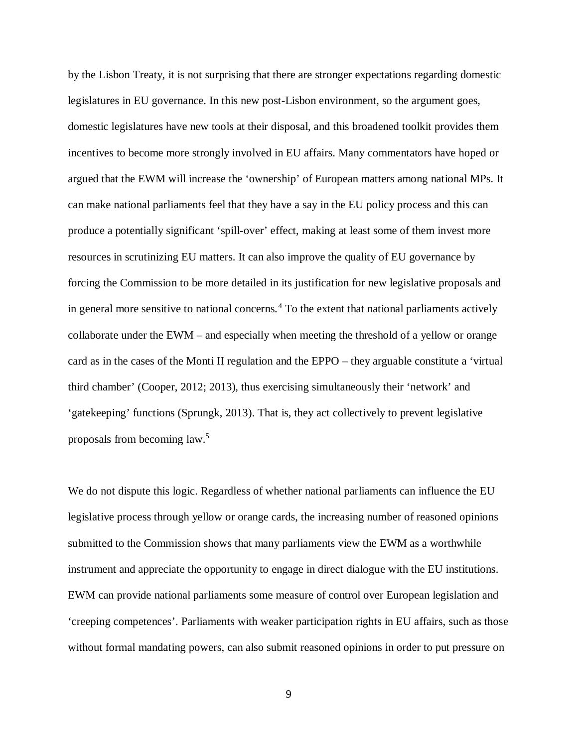by the Lisbon Treaty, it is not surprising that there are stronger expectations regarding domestic legislatures in EU governance. In this new post-Lisbon environment, so the argument goes, domestic legislatures have new tools at their disposal, and this broadened toolkit provides them incentives to become more strongly involved in EU affairs. Many commentators have hoped or argued that the EWM will increase the 'ownership' of European matters among national MPs. It can make national parliaments feel that they have a say in the EU policy process and this can produce a potentially significant 'spill-over' effect, making at least some of them invest more resources in scrutinizing EU matters. It can also improve the quality of EU governance by forcing the Commission to be more detailed in its justification for new legislative proposals and in general more sensitive to national concerns.<sup>[4](#page-24-1)</sup> To the extent that national parliaments actively collaborate under the EWM – and especially when meeting the threshold of a yellow or orange card as in the cases of the Monti II regulation and the EPPO – they arguable constitute a 'virtual third chamber' (Cooper, 2012; 2013), thus exercising simultaneously their 'network' and 'gatekeeping' functions (Sprungk, 2013). That is, they act collectively to prevent legislative proposals from becoming law.[5](#page-24-2)

We do not dispute this logic. Regardless of whether national parliaments can influence the EU legislative process through yellow or orange cards, the increasing number of reasoned opinions submitted to the Commission shows that many parliaments view the EWM as a worthwhile instrument and appreciate the opportunity to engage in direct dialogue with the EU institutions. EWM can provide national parliaments some measure of control over European legislation and 'creeping competences'. Parliaments with weaker participation rights in EU affairs, such as those without formal mandating powers, can also submit reasoned opinions in order to put pressure on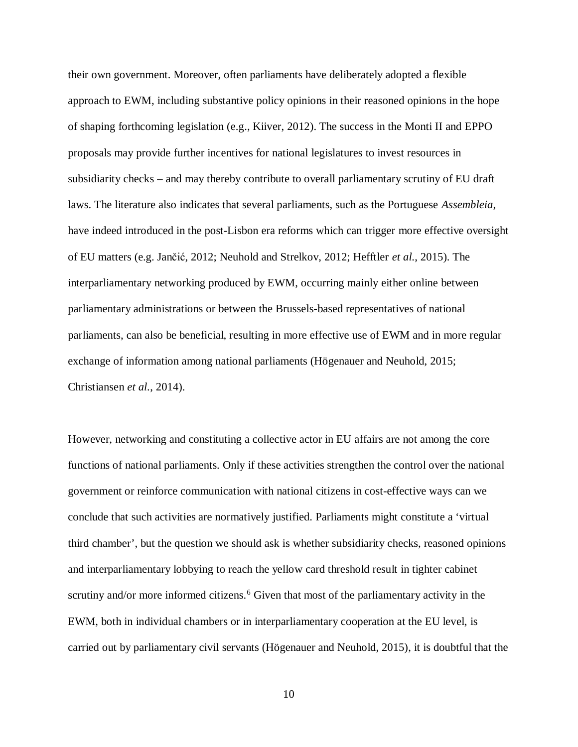their own government. Moreover, often parliaments have deliberately adopted a flexible approach to EWM, including substantive policy opinions in their reasoned opinions in the hope of shaping forthcoming legislation (e.g., Kiiver, 2012). The success in the Monti II and EPPO proposals may provide further incentives for national legislatures to invest resources in subsidiarity checks – and may thereby contribute to overall parliamentary scrutiny of EU draft laws. The literature also indicates that several parliaments, such as the Portuguese *Assembleia*, have indeed introduced in the post-Lisbon era reforms which can trigger more effective oversight of EU matters (e.g. Jančić, 2012; Neuhold and Strelkov, 2012; Hefftler *et al.*, 2015). The interparliamentary networking produced by EWM, occurring mainly either online between parliamentary administrations or between the Brussels-based representatives of national parliaments, can also be beneficial, resulting in more effective use of EWM and in more regular exchange of information among national parliaments (Högenauer and Neuhold, 2015; Christiansen *et al.*, 2014).

However, networking and constituting a collective actor in EU affairs are not among the core functions of national parliaments. Only if these activities strengthen the control over the national government or reinforce communication with national citizens in cost-effective ways can we conclude that such activities are normatively justified. Parliaments might constitute a 'virtual third chamber', but the question we should ask is whether subsidiarity checks, reasoned opinions and interparliamentary lobbying to reach the yellow card threshold result in tighter cabinet scrutiny and/or more informed citizens.<sup>[6](#page-25-0)</sup> Given that most of the parliamentary activity in the EWM, both in individual chambers or in interparliamentary cooperation at the EU level, is carried out by parliamentary civil servants (Högenauer and Neuhold, 2015), it is doubtful that the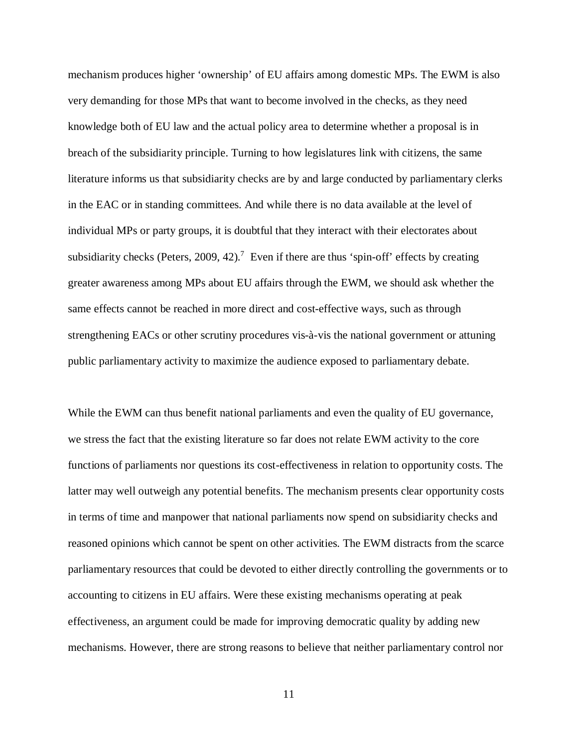mechanism produces higher 'ownership' of EU affairs among domestic MPs. The EWM is also very demanding for those MPs that want to become involved in the checks, as they need knowledge both of EU law and the actual policy area to determine whether a proposal is in breach of the subsidiarity principle. Turning to how legislatures link with citizens, the same literature informs us that subsidiarity checks are by and large conducted by parliamentary clerks in the EAC or in standing committees. And while there is no data available at the level of individual MPs or party groups, it is doubtful that they interact with their electorates about subsidiarity checks (Peters, 2009, 42).<sup>[7](#page-25-1)</sup> Even if there are thus 'spin-off' effects by creating greater awareness among MPs about EU affairs through the EWM, we should ask whether the same effects cannot be reached in more direct and cost-effective ways, such as through strengthening EACs or other scrutiny procedures vis-à-vis the national government or attuning public parliamentary activity to maximize the audience exposed to parliamentary debate.

While the EWM can thus benefit national parliaments and even the quality of EU governance, we stress the fact that the existing literature so far does not relate EWM activity to the core functions of parliaments nor questions its cost-effectiveness in relation to opportunity costs. The latter may well outweigh any potential benefits. The mechanism presents clear opportunity costs in terms of time and manpower that national parliaments now spend on subsidiarity checks and reasoned opinions which cannot be spent on other activities. The EWM distracts from the scarce parliamentary resources that could be devoted to either directly controlling the governments or to accounting to citizens in EU affairs. Were these existing mechanisms operating at peak effectiveness, an argument could be made for improving democratic quality by adding new mechanisms. However, there are strong reasons to believe that neither parliamentary control nor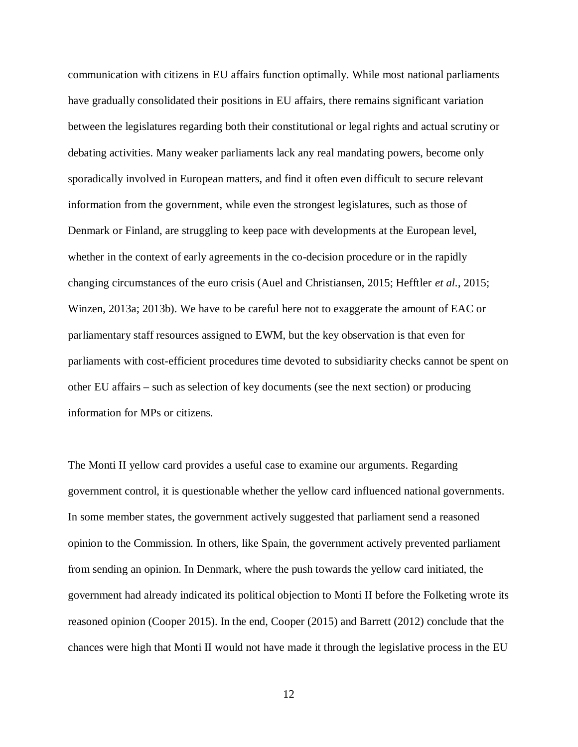communication with citizens in EU affairs function optimally. While most national parliaments have gradually consolidated their positions in EU affairs, there remains significant variation between the legislatures regarding both their constitutional or legal rights and actual scrutiny or debating activities. Many weaker parliaments lack any real mandating powers, become only sporadically involved in European matters, and find it often even difficult to secure relevant information from the government, while even the strongest legislatures, such as those of Denmark or Finland, are struggling to keep pace with developments at the European level, whether in the context of early agreements in the co-decision procedure or in the rapidly changing circumstances of the euro crisis (Auel and Christiansen, 2015; Hefftler *et al.*, 2015; Winzen, 2013a; 2013b). We have to be careful here not to exaggerate the amount of EAC or parliamentary staff resources assigned to EWM, but the key observation is that even for parliaments with cost-efficient procedures time devoted to subsidiarity checks cannot be spent on other EU affairs – such as selection of key documents (see the next section) or producing information for MPs or citizens.

The Monti II yellow card provides a useful case to examine our arguments. Regarding government control, it is questionable whether the yellow card influenced national governments. In some member states, the government actively suggested that parliament send a reasoned opinion to the Commission. In others, like Spain, the government actively prevented parliament from sending an opinion. In Denmark, where the push towards the yellow card initiated, the government had already indicated its political objection to Monti II before the Folketing wrote its reasoned opinion (Cooper 2015). In the end, Cooper (2015) and Barrett (2012) conclude that the chances were high that Monti II would not have made it through the legislative process in the EU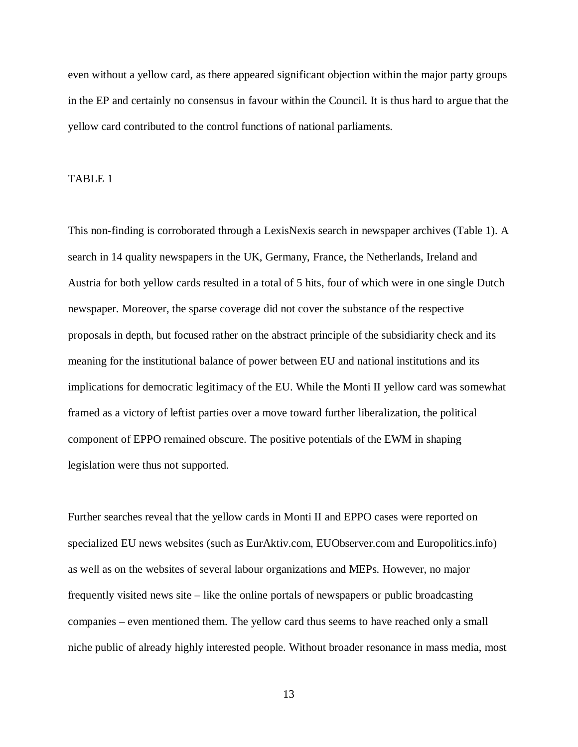even without a yellow card, as there appeared significant objection within the major party groups in the EP and certainly no consensus in favour within the Council. It is thus hard to argue that the yellow card contributed to the control functions of national parliaments.

### TABLE 1

This non-finding is corroborated through a LexisNexis search in newspaper archives (Table 1). A search in 14 quality newspapers in the UK, Germany, France, the Netherlands, Ireland and Austria for both yellow cards resulted in a total of 5 hits, four of which were in one single Dutch newspaper. Moreover, the sparse coverage did not cover the substance of the respective proposals in depth, but focused rather on the abstract principle of the subsidiarity check and its meaning for the institutional balance of power between EU and national institutions and its implications for democratic legitimacy of the EU. While the Monti II yellow card was somewhat framed as a victory of leftist parties over a move toward further liberalization, the political component of EPPO remained obscure. The positive potentials of the EWM in shaping legislation were thus not supported.

Further searches reveal that the yellow cards in Monti II and EPPO cases were reported on specialized EU news websites (such as EurAktiv.com, EUObserver.com and Europolitics.info) as well as on the websites of several labour organizations and MEPs. However, no major frequently visited news site – like the online portals of newspapers or public broadcasting companies – even mentioned them. The yellow card thus seems to have reached only a small niche public of already highly interested people. Without broader resonance in mass media, most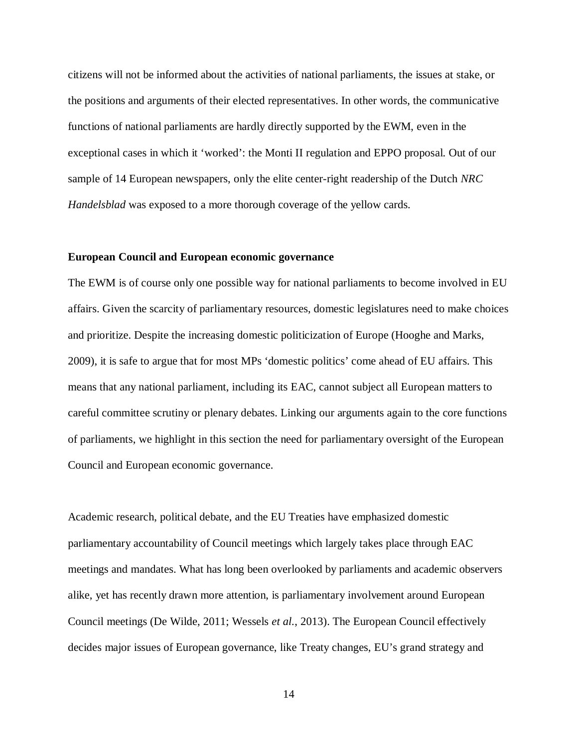citizens will not be informed about the activities of national parliaments, the issues at stake, or the positions and arguments of their elected representatives. In other words, the communicative functions of national parliaments are hardly directly supported by the EWM, even in the exceptional cases in which it 'worked': the Monti II regulation and EPPO proposal. Out of our sample of 14 European newspapers, only the elite center-right readership of the Dutch *NRC Handelsblad* was exposed to a more thorough coverage of the yellow cards.

#### **European Council and European economic governance**

The EWM is of course only one possible way for national parliaments to become involved in EU affairs. Given the scarcity of parliamentary resources, domestic legislatures need to make choices and prioritize. Despite the increasing domestic politicization of Europe (Hooghe and Marks, 2009), it is safe to argue that for most MPs 'domestic politics' come ahead of EU affairs. This means that any national parliament, including its EAC, cannot subject all European matters to careful committee scrutiny or plenary debates. Linking our arguments again to the core functions of parliaments, we highlight in this section the need for parliamentary oversight of the European Council and European economic governance.

Academic research, political debate, and the EU Treaties have emphasized domestic parliamentary accountability of Council meetings which largely takes place through EAC meetings and mandates. What has long been overlooked by parliaments and academic observers alike, yet has recently drawn more attention, is parliamentary involvement around European Council meetings (De Wilde, 2011; Wessels *et al.*, 2013). The European Council effectively decides major issues of European governance, like Treaty changes, EU's grand strategy and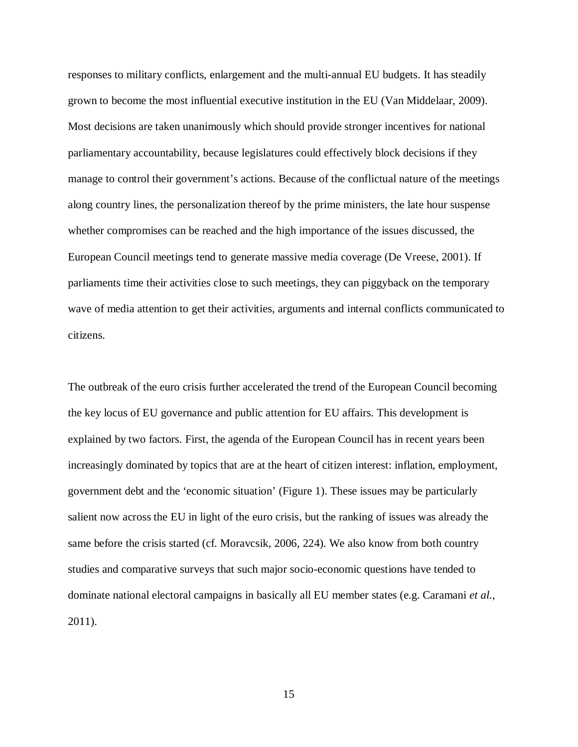responses to military conflicts, enlargement and the multi-annual EU budgets. It has steadily grown to become the most influential executive institution in the EU (Van Middelaar, 2009). Most decisions are taken unanimously which should provide stronger incentives for national parliamentary accountability, because legislatures could effectively block decisions if they manage to control their government's actions. Because of the conflictual nature of the meetings along country lines, the personalization thereof by the prime ministers, the late hour suspense whether compromises can be reached and the high importance of the issues discussed, the European Council meetings tend to generate massive media coverage (De Vreese, 2001). If parliaments time their activities close to such meetings, they can piggyback on the temporary wave of media attention to get their activities, arguments and internal conflicts communicated to citizens.

The outbreak of the euro crisis further accelerated the trend of the European Council becoming the key locus of EU governance and public attention for EU affairs. This development is explained by two factors. First, the agenda of the European Council has in recent years been increasingly dominated by topics that are at the heart of citizen interest: inflation, employment, government debt and the 'economic situation' (Figure 1). These issues may be particularly salient now across the EU in light of the euro crisis, but the ranking of issues was already the same before the crisis started (cf. Moravcsik, 2006, 224). We also know from both country studies and comparative surveys that such major socio-economic questions have tended to dominate national electoral campaigns in basically all EU member states (e.g. Caramani *et al.*, 2011).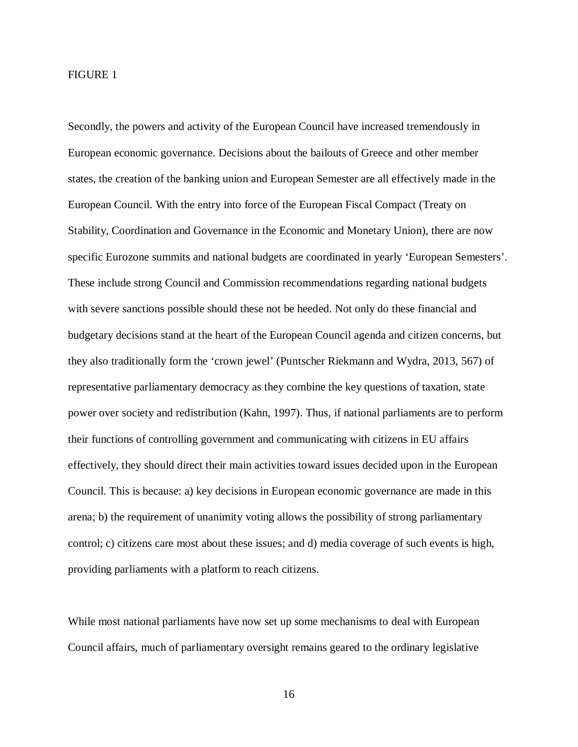#### FIGURE 1

Secondly, the powers and activity of the European Council have increased tremendously in European economic governance. Decisions about the bailouts of Greece and other member states, the creation of the banking union and European Semester are all effectively made in the European Council. With the entry into force of the European Fiscal Compact (Treaty on Stability, Coordination and Governance in the Economic and Monetary Union), there are now specific Eurozone summits and national budgets are coordinated in yearly 'European Semesters'. These include strong Council and Commission recommendations regarding national budgets with severe sanctions possible should these not be heeded. Not only do these financial and budgetary decisions stand at the heart of the European Council agenda and citizen concerns, but they also traditionally form the 'crown jewel' (Puntscher Riekmann and Wydra, 2013, 567) of representative parliamentary democracy as they combine the key questions of taxation, state power over society and redistribution (Kahn, 1997). Thus, if national parliaments are to perform their functions of controlling government and communicating with citizens in EU affairs effectively, they should direct their main activities toward issues decided upon in the European Council. This is because: a) key decisions in European economic governance are made in this arena; b) the requirement of unanimity voting allows the possibility of strong parliamentary control; c) citizens care most about these issues; and d) media coverage of such events is high, providing parliaments with a platform to reach citizens.

While most national parliaments have now set up some mechanisms to deal with European Council affairs, much of parliamentary oversight remains geared to the ordinary legislative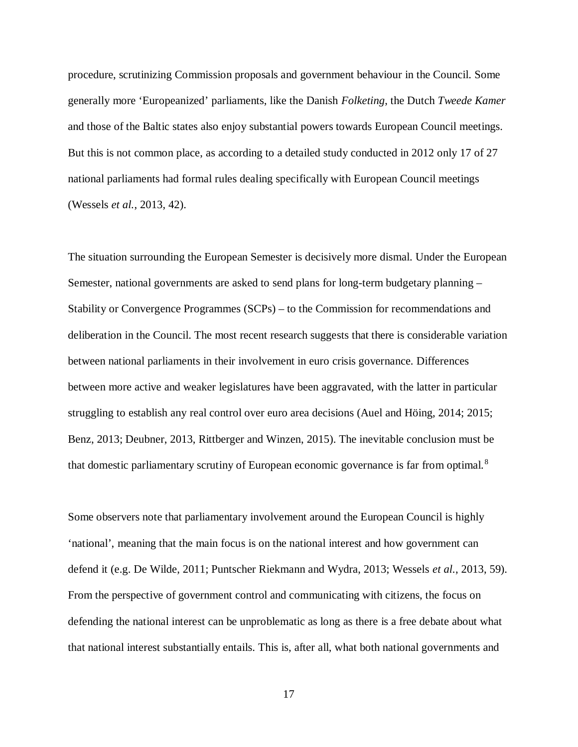procedure, scrutinizing Commission proposals and government behaviour in the Council. Some generally more 'Europeanized' parliaments, like the Danish *Folketing*, the Dutch *Tweede Kamer* and those of the Baltic states also enjoy substantial powers towards European Council meetings. But this is not common place, as according to a detailed study conducted in 2012 only 17 of 27 national parliaments had formal rules dealing specifically with European Council meetings (Wessels *et al.*, 2013, 42).

The situation surrounding the European Semester is decisively more dismal. Under the European Semester, national governments are asked to send plans for long-term budgetary planning – Stability or Convergence Programmes (SCPs) – to the Commission for recommendations and deliberation in the Council. The most recent research suggests that there is considerable variation between national parliaments in their involvement in euro crisis governance. Differences between more active and weaker legislatures have been aggravated, with the latter in particular struggling to establish any real control over euro area decisions (Auel and Höing, 2014; 2015; Benz, 2013; Deubner, 2013, Rittberger and Winzen, 2015). The inevitable conclusion must be that domestic parliamentary scrutiny of European economic governance is far from optimal. [8](#page-25-2)

Some observers note that parliamentary involvement around the European Council is highly 'national', meaning that the main focus is on the national interest and how government can defend it (e.g. De Wilde, 2011; Puntscher Riekmann and Wydra, 2013; Wessels *et al.*, 2013, 59). From the perspective of government control and communicating with citizens, the focus on defending the national interest can be unproblematic as long as there is a free debate about what that national interest substantially entails. This is, after all, what both national governments and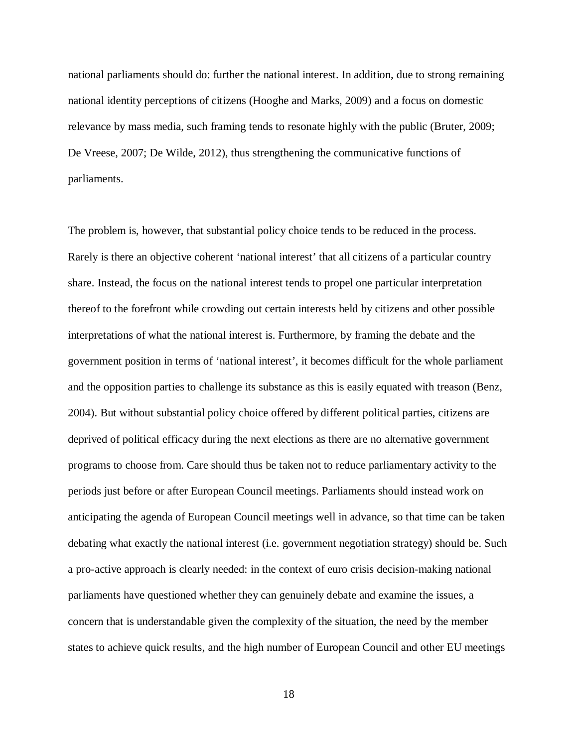national parliaments should do: further the national interest. In addition, due to strong remaining national identity perceptions of citizens (Hooghe and Marks, 2009) and a focus on domestic relevance by mass media, such framing tends to resonate highly with the public (Bruter, 2009; De Vreese, 2007; De Wilde, 2012), thus strengthening the communicative functions of parliaments.

The problem is, however, that substantial policy choice tends to be reduced in the process. Rarely is there an objective coherent 'national interest' that all citizens of a particular country share. Instead, the focus on the national interest tends to propel one particular interpretation thereof to the forefront while crowding out certain interests held by citizens and other possible interpretations of what the national interest is. Furthermore, by framing the debate and the government position in terms of 'national interest', it becomes difficult for the whole parliament and the opposition parties to challenge its substance as this is easily equated with treason (Benz, 2004). But without substantial policy choice offered by different political parties, citizens are deprived of political efficacy during the next elections as there are no alternative government programs to choose from. Care should thus be taken not to reduce parliamentary activity to the periods just before or after European Council meetings. Parliaments should instead work on anticipating the agenda of European Council meetings well in advance, so that time can be taken debating what exactly the national interest (i.e. government negotiation strategy) should be. Such a pro-active approach is clearly needed: in the context of euro crisis decision-making national parliaments have questioned whether they can genuinely debate and examine the issues, a concern that is understandable given the complexity of the situation, the need by the member states to achieve quick results, and the high number of European Council and other EU meetings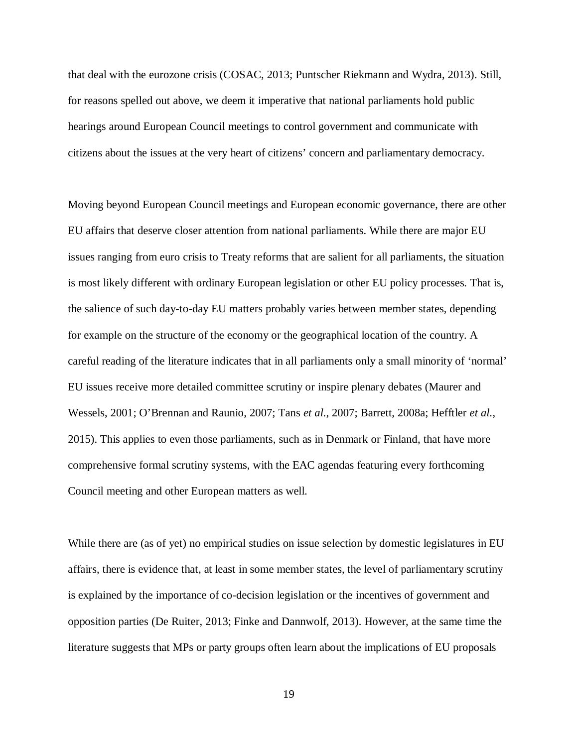that deal with the eurozone crisis (COSAC, 2013; Puntscher Riekmann and Wydra, 2013). Still, for reasons spelled out above, we deem it imperative that national parliaments hold public hearings around European Council meetings to control government and communicate with citizens about the issues at the very heart of citizens' concern and parliamentary democracy.

Moving beyond European Council meetings and European economic governance, there are other EU affairs that deserve closer attention from national parliaments. While there are major EU issues ranging from euro crisis to Treaty reforms that are salient for all parliaments, the situation is most likely different with ordinary European legislation or other EU policy processes. That is, the salience of such day-to-day EU matters probably varies between member states, depending for example on the structure of the economy or the geographical location of the country. A careful reading of the literature indicates that in all parliaments only a small minority of 'normal' EU issues receive more detailed committee scrutiny or inspire plenary debates (Maurer and Wessels, 2001; O'Brennan and Raunio, 2007; Tans *et al.*, 2007; Barrett, 2008a; Hefftler *et al.*, 2015). This applies to even those parliaments, such as in Denmark or Finland, that have more comprehensive formal scrutiny systems, with the EAC agendas featuring every forthcoming Council meeting and other European matters as well.

While there are (as of yet) no empirical studies on issue selection by domestic legislatures in EU affairs, there is evidence that, at least in some member states, the level of parliamentary scrutiny is explained by the importance of co-decision legislation or the incentives of government and opposition parties (De Ruiter, 2013; Finke and Dannwolf, 2013). However, at the same time the literature suggests that MPs or party groups often learn about the implications of EU proposals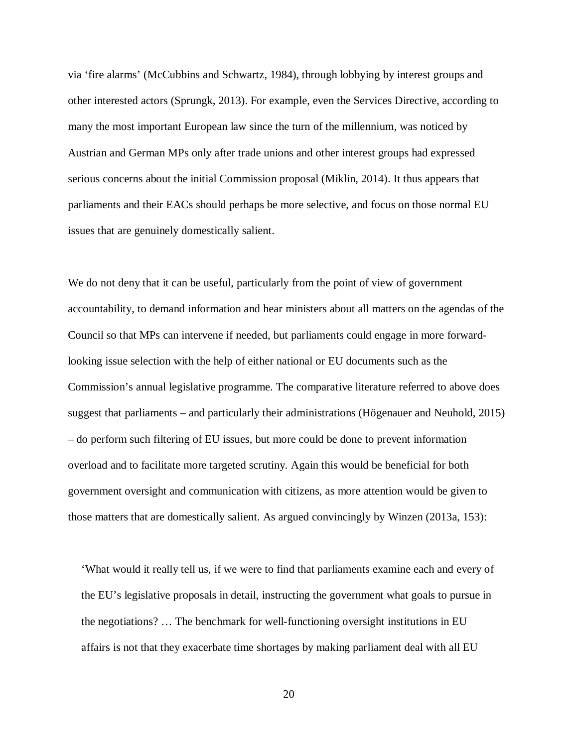via 'fire alarms' (McCubbins and Schwartz, 1984), through lobbying by interest groups and other interested actors (Sprungk, 2013). For example, even the Services Directive, according to many the most important European law since the turn of the millennium, was noticed by Austrian and German MPs only after trade unions and other interest groups had expressed serious concerns about the initial Commission proposal (Miklin, 2014). It thus appears that parliaments and their EACs should perhaps be more selective, and focus on those normal EU issues that are genuinely domestically salient.

We do not deny that it can be useful, particularly from the point of view of government accountability, to demand information and hear ministers about all matters on the agendas of the Council so that MPs can intervene if needed, but parliaments could engage in more forwardlooking issue selection with the help of either national or EU documents such as the Commission's annual legislative programme. The comparative literature referred to above does suggest that parliaments – and particularly their administrations (Högenauer and Neuhold, 2015) – do perform such filtering of EU issues, but more could be done to prevent information overload and to facilitate more targeted scrutiny. Again this would be beneficial for both government oversight and communication with citizens, as more attention would be given to those matters that are domestically salient. As argued convincingly by Winzen (2013a, 153):

'What would it really tell us, if we were to find that parliaments examine each and every of the EU's legislative proposals in detail, instructing the government what goals to pursue in the negotiations? … The benchmark for well-functioning oversight institutions in EU affairs is not that they exacerbate time shortages by making parliament deal with all EU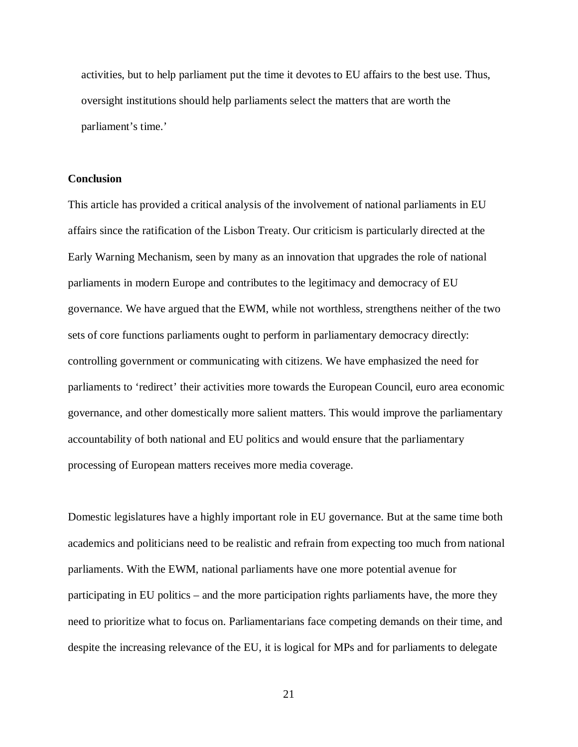activities, but to help parliament put the time it devotes to EU affairs to the best use. Thus, oversight institutions should help parliaments select the matters that are worth the parliament's time.'

#### **Conclusion**

This article has provided a critical analysis of the involvement of national parliaments in EU affairs since the ratification of the Lisbon Treaty. Our criticism is particularly directed at the Early Warning Mechanism, seen by many as an innovation that upgrades the role of national parliaments in modern Europe and contributes to the legitimacy and democracy of EU governance. We have argued that the EWM, while not worthless, strengthens neither of the two sets of core functions parliaments ought to perform in parliamentary democracy directly: controlling government or communicating with citizens. We have emphasized the need for parliaments to 'redirect' their activities more towards the European Council, euro area economic governance, and other domestically more salient matters. This would improve the parliamentary accountability of both national and EU politics and would ensure that the parliamentary processing of European matters receives more media coverage.

Domestic legislatures have a highly important role in EU governance. But at the same time both academics and politicians need to be realistic and refrain from expecting too much from national parliaments. With the EWM, national parliaments have one more potential avenue for participating in EU politics – and the more participation rights parliaments have, the more they need to prioritize what to focus on. Parliamentarians face competing demands on their time, and despite the increasing relevance of the EU, it is logical for MPs and for parliaments to delegate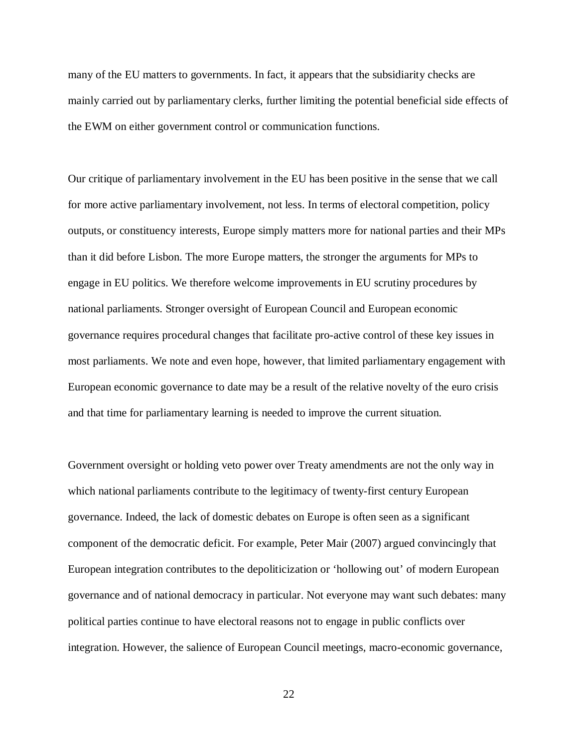many of the EU matters to governments. In fact, it appears that the subsidiarity checks are mainly carried out by parliamentary clerks, further limiting the potential beneficial side effects of the EWM on either government control or communication functions.

Our critique of parliamentary involvement in the EU has been positive in the sense that we call for more active parliamentary involvement, not less. In terms of electoral competition, policy outputs, or constituency interests, Europe simply matters more for national parties and their MPs than it did before Lisbon. The more Europe matters, the stronger the arguments for MPs to engage in EU politics. We therefore welcome improvements in EU scrutiny procedures by national parliaments. Stronger oversight of European Council and European economic governance requires procedural changes that facilitate pro-active control of these key issues in most parliaments. We note and even hope, however, that limited parliamentary engagement with European economic governance to date may be a result of the relative novelty of the euro crisis and that time for parliamentary learning is needed to improve the current situation.

Government oversight or holding veto power over Treaty amendments are not the only way in which national parliaments contribute to the legitimacy of twenty-first century European governance. Indeed, the lack of domestic debates on Europe is often seen as a significant component of the democratic deficit. For example, Peter Mair (2007) argued convincingly that European integration contributes to the depoliticization or 'hollowing out' of modern European governance and of national democracy in particular. Not everyone may want such debates: many political parties continue to have electoral reasons not to engage in public conflicts over integration. However, the salience of European Council meetings, macro-economic governance,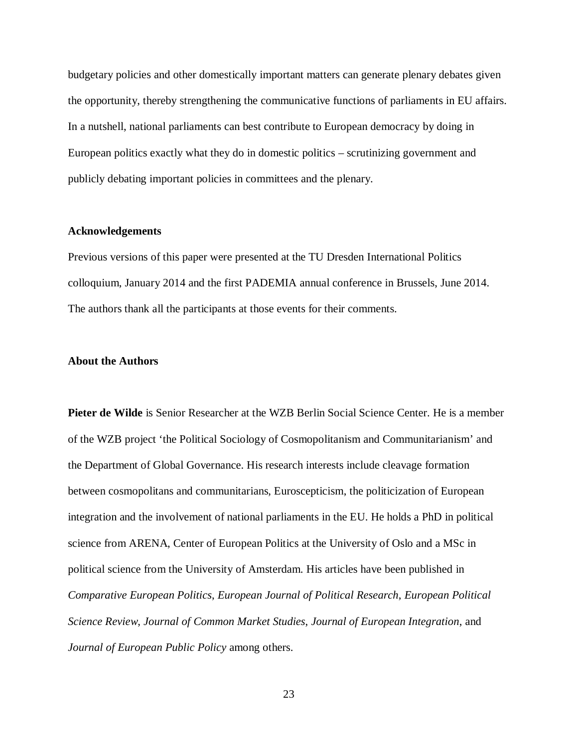budgetary policies and other domestically important matters can generate plenary debates given the opportunity, thereby strengthening the communicative functions of parliaments in EU affairs. In a nutshell, national parliaments can best contribute to European democracy by doing in European politics exactly what they do in domestic politics – scrutinizing government and publicly debating important policies in committees and the plenary.

#### **Acknowledgements**

Previous versions of this paper were presented at the TU Dresden International Politics colloquium, January 2014 and the first PADEMIA annual conference in Brussels, June 2014. The authors thank all the participants at those events for their comments.

#### **About the Authors**

**Pieter de Wilde** is Senior Researcher at the WZB Berlin Social Science Center. He is a member of the WZB project 'the Political Sociology of Cosmopolitanism and Communitarianism' and the Department of Global Governance. His research interests include cleavage formation between cosmopolitans and communitarians, Euroscepticism, the politicization of European integration and the involvement of national parliaments in the EU. He holds a PhD in political science from ARENA, Center of European Politics at the University of Oslo and a MSc in political science from the University of Amsterdam. His articles have been published in *Comparative European Politics*, *European Journal of Political Research*, *European Political Science Review*, *Journal of Common Market Studies*, *Journal of European Integration*, and *Journal of European Public Policy* among others.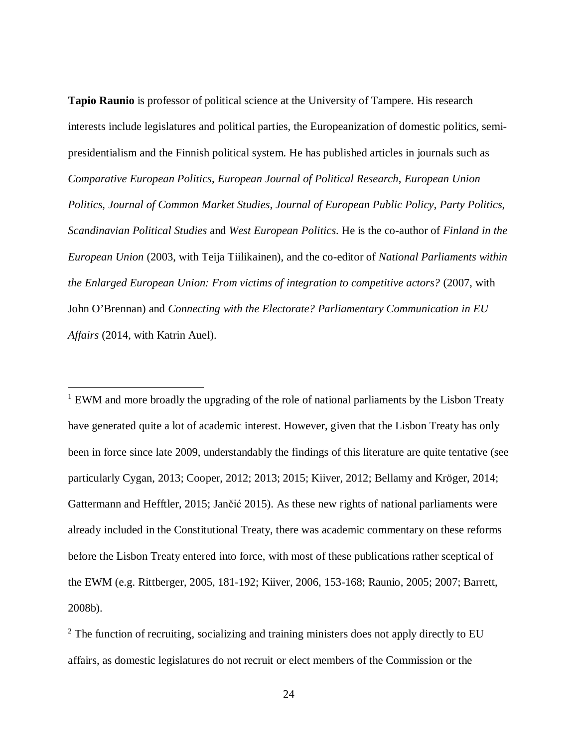**Tapio Raunio** is professor of political science at the University of Tampere. His research interests include legislatures and political parties, the Europeanization of domestic politics, semipresidentialism and the Finnish political system. He has published articles in journals such as *Comparative European Politics*, *European Journal of Political Research*, *European Union Politics*, *Journal of Common Market Studies*, *Journal of European Public Policy*, *Party Politics*, *Scandinavian Political Studies* and *West European Politics*. He is the co-author of *Finland in the European Union* (2003, with Teija Tiilikainen), and the co-editor of *National Parliaments within the Enlarged European Union: From victims of integration to competitive actors?* (2007, with John O'Brennan) and *Connecting with the Electorate? Parliamentary Communication in EU Affairs* (2014, with Katrin Auel).

<span id="page-23-0"></span><sup>1</sup> EWM and more broadly the upgrading of the role of national parliaments by the Lisbon Treaty have generated quite a lot of academic interest. However, given that the Lisbon Treaty has only been in force since late 2009, understandably the findings of this literature are quite tentative (see particularly Cygan, 2013; Cooper, 2012; 2013; 2015; Kiiver, 2012; Bellamy and Kröger, 2014; Gattermann and Hefftler, 2015; Jančić 2015). As these new rights of national parliaments were already included in the Constitutional Treaty, there was academic commentary on these reforms before the Lisbon Treaty entered into force, with most of these publications rather sceptical of the EWM (e.g. Rittberger, 2005, 181-192; Kiiver, 2006, 153-168; Raunio, 2005; 2007; Barrett, 2008b).

<span id="page-23-1"></span> $2^2$  The function of recruiting, socializing and training ministers does not apply directly to EU affairs, as domestic legislatures do not recruit or elect members of the Commission or the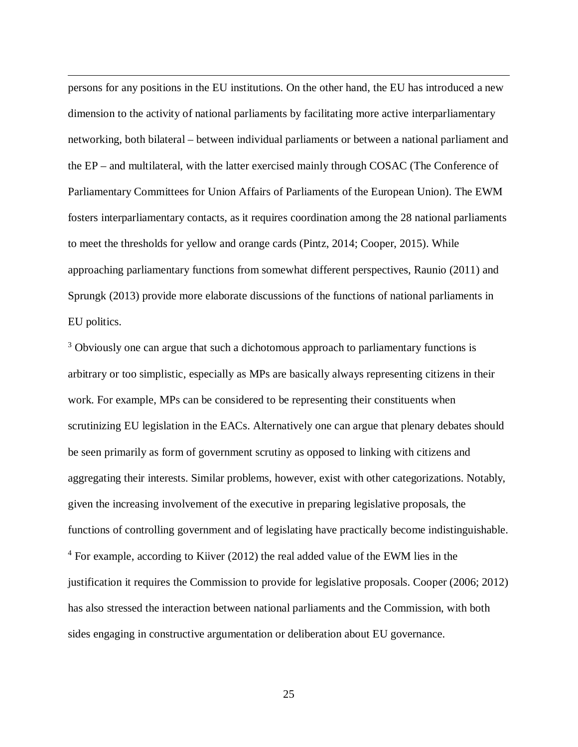<span id="page-24-2"></span>persons for any positions in the EU institutions. On the other hand, the EU has introduced a new dimension to the activity of national parliaments by facilitating more active interparliamentary networking, both bilateral – between individual parliaments or between a national parliament and the EP – and multilateral, with the latter exercised mainly through COSAC (The Conference of Parliamentary Committees for Union Affairs of Parliaments of the European Union). The EWM fosters interparliamentary contacts, as it requires coordination among the 28 national parliaments to meet the thresholds for yellow and orange cards (Pintz, 2014; Cooper, 2015). While approaching parliamentary functions from somewhat different perspectives, Raunio (2011) and Sprungk (2013) provide more elaborate discussions of the functions of national parliaments in EU politics.

<span id="page-24-1"></span><span id="page-24-0"></span><sup>3</sup> Obviously one can argue that such a dichotomous approach to parliamentary functions is arbitrary or too simplistic, especially as MPs are basically always representing citizens in their work. For example, MPs can be considered to be representing their constituents when scrutinizing EU legislation in the EACs. Alternatively one can argue that plenary debates should be seen primarily as form of government scrutiny as opposed to linking with citizens and aggregating their interests. Similar problems, however, exist with other categorizations. Notably, given the increasing involvement of the executive in preparing legislative proposals, the functions of controlling government and of legislating have practically become indistinguishable. <sup>4</sup> For example, according to Kiiver (2012) the real added value of the EWM lies in the justification it requires the Commission to provide for legislative proposals. Cooper (2006; 2012) has also stressed the interaction between national parliaments and the Commission, with both sides engaging in constructive argumentation or deliberation about EU governance.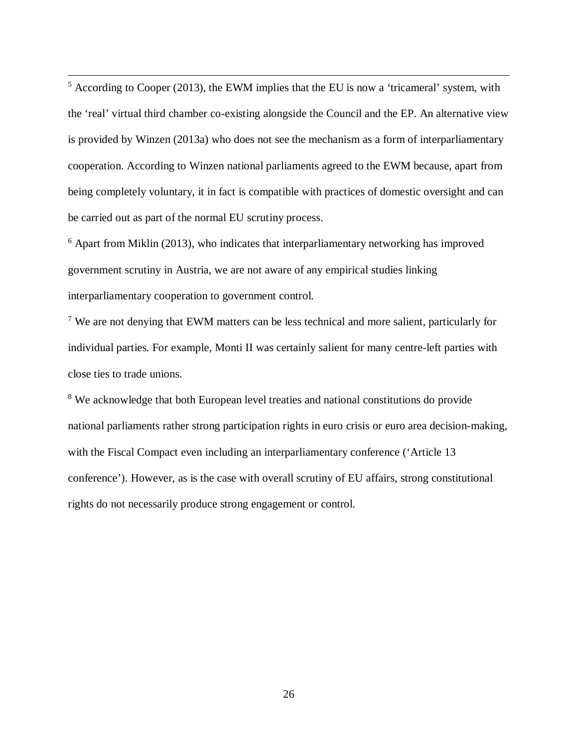$<sup>5</sup>$  According to Cooper (2013), the EWM implies that the EU is now a 'tricameral' system, with</sup> the 'real' virtual third chamber co-existing alongside the Council and the EP. An alternative view is provided by Winzen (2013a) who does not see the mechanism as a form of interparliamentary cooperation. According to Winzen national parliaments agreed to the EWM because, apart from being completely voluntary, it in fact is compatible with practices of domestic oversight and can be carried out as part of the normal EU scrutiny process.

<span id="page-25-0"></span><sup>6</sup> Apart from Miklin (2013), who indicates that interparliamentary networking has improved government scrutiny in Austria, we are not aware of any empirical studies linking interparliamentary cooperation to government control.

<span id="page-25-1"></span><sup>7</sup> We are not denying that EWM matters can be less technical and more salient, particularly for individual parties. For example, Monti II was certainly salient for many centre-left parties with close ties to trade unions.

<span id="page-25-2"></span><sup>8</sup> We acknowledge that both European level treaties and national constitutions do provide national parliaments rather strong participation rights in euro crisis or euro area decision-making, with the Fiscal Compact even including an interparliamentary conference ('Article 13 conference'). However, as is the case with overall scrutiny of EU affairs, strong constitutional rights do not necessarily produce strong engagement or control.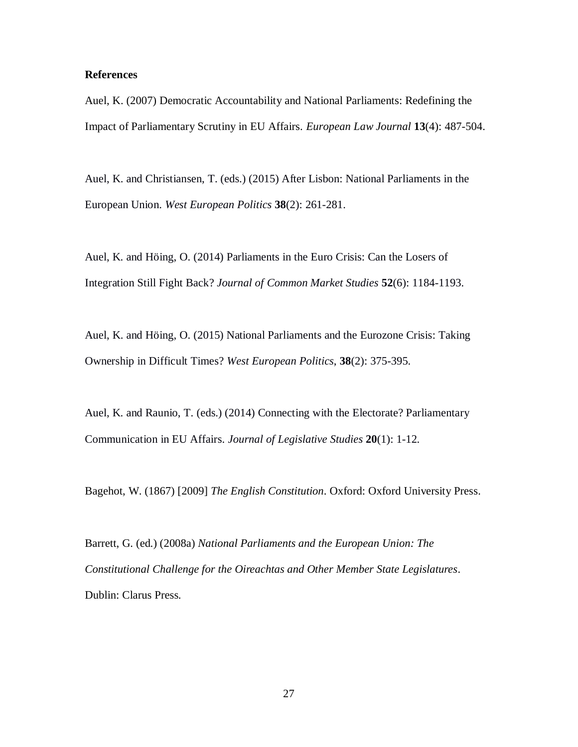#### **References**

Auel, K. (2007) Democratic Accountability and National Parliaments: Redefining the Impact of Parliamentary Scrutiny in EU Affairs. *European Law Journal* **13**(4): 487-504.

Auel, K. and Christiansen, T. (eds.) (2015) After Lisbon: National Parliaments in the European Union. *West European Politics* **38**(2): 261-281.

Auel, K. and Höing, O. (2014) Parliaments in the Euro Crisis: Can the Losers of Integration Still Fight Back? *Journal of Common Market Studies* **52**(6): 1184-1193.

Auel, K. and Höing, O. (2015) National Parliaments and the Eurozone Crisis: Taking Ownership in Difficult Times? *West European Politics*, **38**(2): 375-395.

Auel, K. and Raunio, T. (eds.) (2014) Connecting with the Electorate? Parliamentary Communication in EU Affairs. *Journal of Legislative Studies* **20**(1): 1-12.

Bagehot, W. (1867) [2009] *The English Constitution*. Oxford: Oxford University Press.

Barrett, G. (ed.) (2008a) *National Parliaments and the European Union: The Constitutional Challenge for the Oireachtas and Other Member State Legislatures*. Dublin: Clarus Press.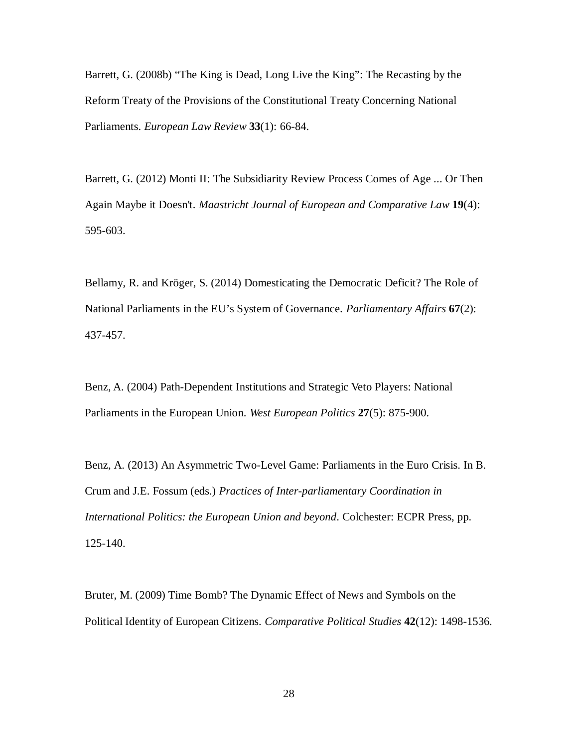Barrett, G. (2008b) "The King is Dead, Long Live the King": The Recasting by the Reform Treaty of the Provisions of the Constitutional Treaty Concerning National Parliaments. *European Law Review* **33**(1): 66-84.

Barrett, G. (2012) Monti II: The Subsidiarity Review Process Comes of Age ... Or Then Again Maybe it Doesn't. *Maastricht Journal of European and Comparative Law* **19**(4): 595-603.

Bellamy, R. and Kröger, S. (2014) Domesticating the Democratic Deficit? The Role of National Parliaments in the EU's System of Governance. *Parliamentary Affairs* **67**(2): 437-457.

Benz, A. (2004) Path-Dependent Institutions and Strategic Veto Players: National Parliaments in the European Union. *West European Politics* **27**(5): 875-900.

Benz, A. (2013) An Asymmetric Two-Level Game: Parliaments in the Euro Crisis. In B. Crum and J.E. Fossum (eds.) *Practices of Inter-parliamentary Coordination in International Politics: the European Union and beyond*. Colchester: ECPR Press, pp. 125-140.

Bruter, M. (2009) Time Bomb? The Dynamic Effect of News and Symbols on the Political Identity of European Citizens. *Comparative Political Studies* **42**(12): 1498-1536.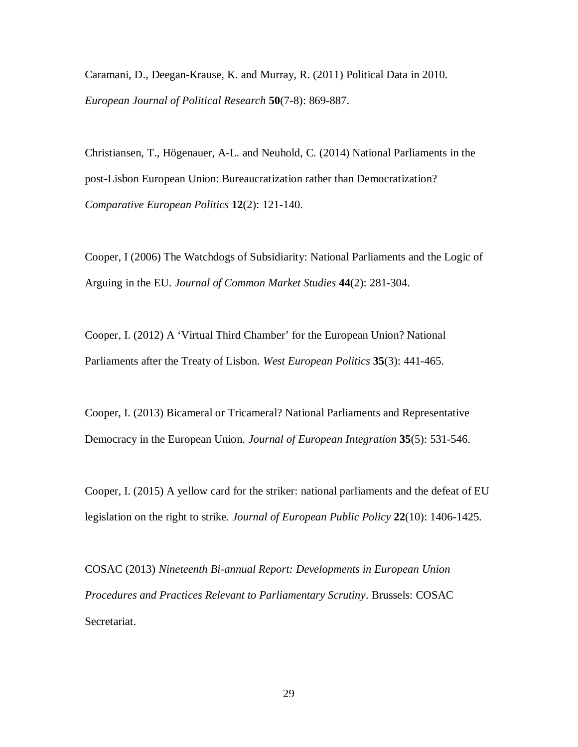Caramani, D., Deegan-Krause, K. and Murray, R. (2011) Political Data in 2010. *European Journal of Political Research* **50**(7-8): 869-887.

Christiansen, T., Högenauer, A-L. and Neuhold, C. (2014) National Parliaments in the post-Lisbon European Union: Bureaucratization rather than Democratization? *Comparative European Politics* **12**(2): 121-140.

Cooper, I (2006) The Watchdogs of Subsidiarity: National Parliaments and the Logic of Arguing in the EU. *Journal of Common Market Studies* **44**(2): 281-304.

Cooper, I. (2012) A 'Virtual Third Chamber' for the European Union? National Parliaments after the Treaty of Lisbon. *West European Politics* **35**(3): 441-465.

Cooper, I. (2013) Bicameral or Tricameral? National Parliaments and Representative Democracy in the European Union. *Journal of European Integration* **35**(5): 531-546.

Cooper, I. (2015) A yellow card for the striker: national parliaments and the defeat of EU legislation on the right to strike. *Journal of European Public Policy* **22**(10): 1406-1425.

COSAC (2013) *Nineteenth Bi-annual Report: Developments in European Union Procedures and Practices Relevant to Parliamentary Scrutiny*. Brussels: COSAC Secretariat.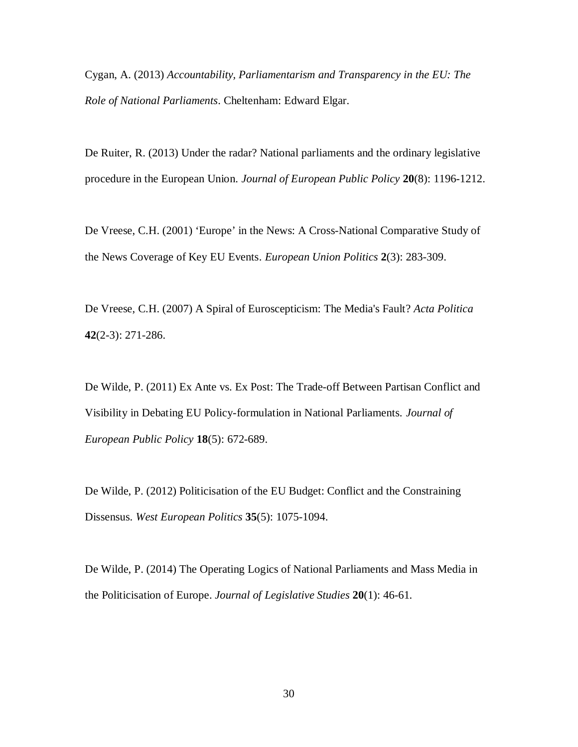Cygan, A. (2013) *Accountability, Parliamentarism and Transparency in the EU: The Role of National Parliaments*. Cheltenham: Edward Elgar.

De Ruiter, R. (2013) Under the radar? National parliaments and the ordinary legislative procedure in the European Union. *Journal of European Public Policy* **20**(8): 1196-1212.

De Vreese, C.H. (2001) 'Europe' in the News: A Cross-National Comparative Study of the News Coverage of Key EU Events. *European Union Politics* **2**(3): 283-309.

De Vreese, C.H. (2007) A Spiral of Euroscepticism: The Media's Fault? *Acta Politica* **42**(2-3): 271-286.

De Wilde, P. (2011) Ex Ante vs. Ex Post: The Trade-off Between Partisan Conflict and Visibility in Debating EU Policy-formulation in National Parliaments. *Journal of European Public Policy* **18**(5): 672-689.

De Wilde, P. (2012) Politicisation of the EU Budget: Conflict and the Constraining Dissensus. *West European Politics* **35**(5): 1075-1094.

De Wilde, P. (2014) The Operating Logics of National Parliaments and Mass Media in the Politicisation of Europe. *Journal of Legislative Studies* **20**(1): 46-61.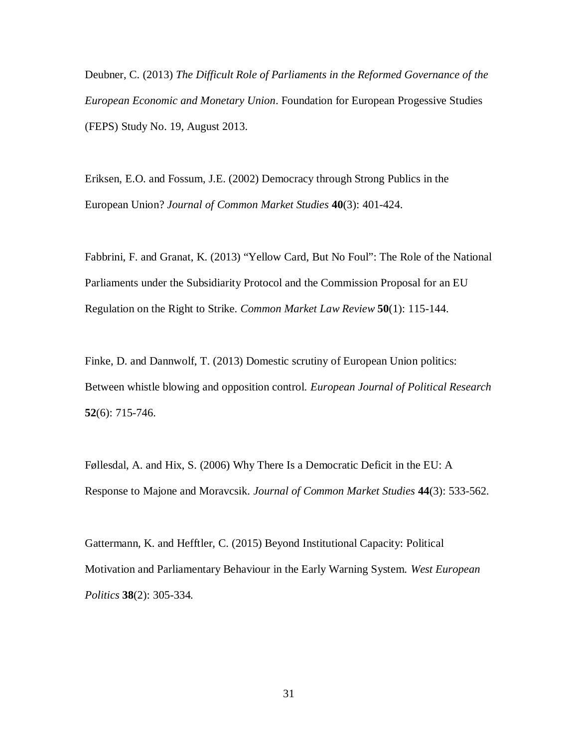Deubner, C. (2013) *The Difficult Role of Parliaments in the Reformed Governance of the European Economic and Monetary Union*. Foundation for European Progessive Studies (FEPS) Study No. 19, August 2013.

Eriksen, E.O. and Fossum, J.E. (2002) Democracy through Strong Publics in the European Union? *Journal of Common Market Studies* **40**(3): 401-424.

Fabbrini, F. and Granat, K. (2013) "Yellow Card, But No Foul": The Role of the National Parliaments under the Subsidiarity Protocol and the Commission Proposal for an EU Regulation on the Right to Strike. *Common Market Law Review* **50**(1): 115-144.

Finke, D. and Dannwolf, T. (2013) Domestic scrutiny of European Union politics: Between whistle blowing and opposition control. *European Journal of Political Research* **52**(6): 715-746.

Føllesdal, A. and Hix, S. (2006) Why There Is a Democratic Deficit in the EU: A Response to Majone and Moravcsik. *Journal of Common Market Studies* **44**(3): 533-562.

Gattermann, K. and Hefftler, C. (2015) Beyond Institutional Capacity: Political Motivation and Parliamentary Behaviour in the Early Warning System. *West European Politics* **38**(2): 305-334*.*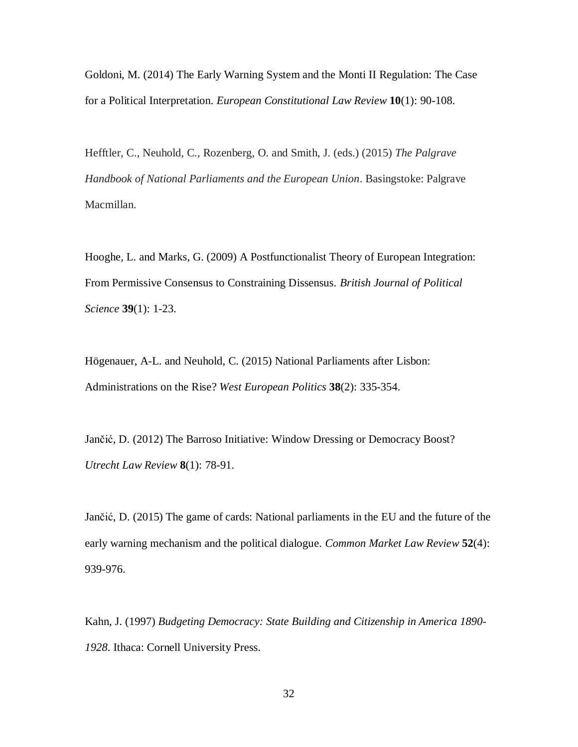Goldoni, M. (2014) The Early Warning System and the Monti II Regulation: The Case for a Political Interpretation. *European Constitutional Law Review* **10**(1): 90-108.

Hefftler, C., Neuhold, C., Rozenberg, O. and Smith, J. (eds.) (2015) *The Palgrave Handbook of National Parliaments and the European Union*. Basingstoke: Palgrave Macmillan.

Hooghe, L. and Marks, G. (2009) A Postfunctionalist Theory of European Integration: From Permissive Consensus to Constraining Dissensus. *British Journal of Political Science* **39**(1): 1-23.

Högenauer, A-L. and Neuhold, C. (2015) National Parliaments after Lisbon: Administrations on the Rise? *West European Politics* **38**(2): 335-354.

Jančić, D. (2012) The Barroso Initiative: Window Dressing or Democracy Boost? *Utrecht Law Review* **8**(1): 78-91.

Jančić, D. (2015) The game of cards: National parliaments in the EU and the future of the early warning mechanism and the political dialogue. *Common Market Law Review* **52**(4): 939-976.

Kahn, J. (1997) *Budgeting Democracy: State Building and Citizenship in America 1890- 1928*. Ithaca: Cornell University Press.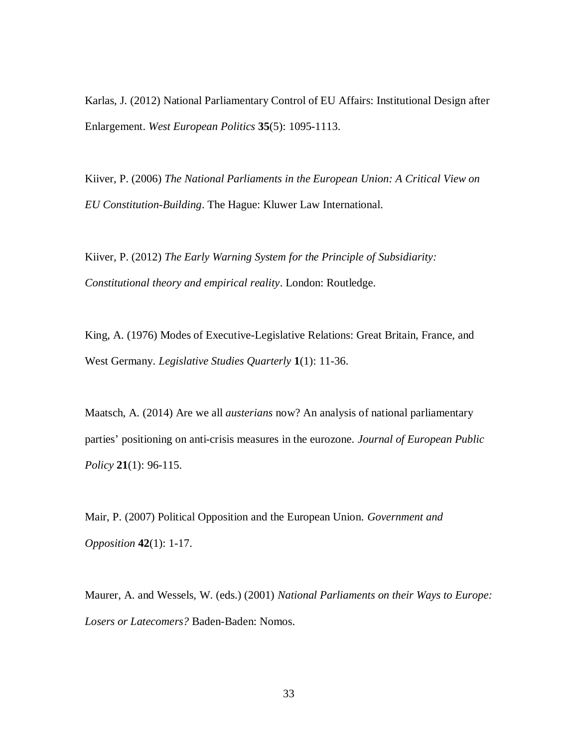Karlas, J. (2012) National Parliamentary Control of EU Affairs: Institutional Design after Enlargement. *West European Politics* **35**(5): 1095-1113.

Kiiver, P. (2006) *The National Parliaments in the European Union: A Critical View on EU Constitution-Building*. The Hague: Kluwer Law International.

Kiiver, P. (2012) *The Early Warning System for the Principle of Subsidiarity: Constitutional theory and empirical reality*. London: Routledge.

King, A. (1976) Modes of Executive-Legislative Relations: Great Britain, France, and West Germany. *Legislative Studies Quarterly* **1**(1): 11-36.

Maatsch, A. (2014) Are we all *austerians* now? An analysis of national parliamentary parties' positioning on anti-crisis measures in the eurozone. *Journal of European Public Policy* **21**(1): 96-115.

Mair, P. (2007) Political Opposition and the European Union. *Government and Opposition* **42**(1): 1-17.

Maurer, A. and Wessels, W. (eds.) (2001) *National Parliaments on their Ways to Europe: Losers or Latecomers?* Baden-Baden: Nomos.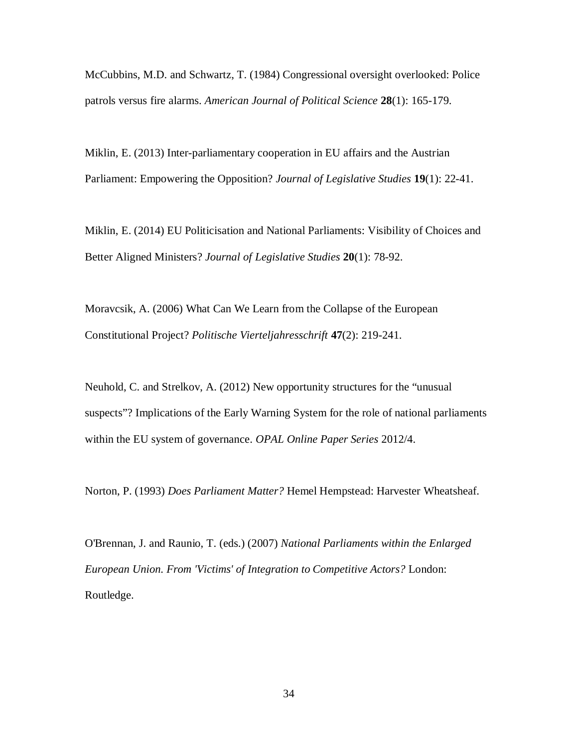McCubbins, M.D. and Schwartz, T. (1984) Congressional oversight overlooked: Police patrols versus fire alarms. *American Journal of Political Science* **28**(1): 165-179.

Miklin, E. (2013) Inter-parliamentary cooperation in EU affairs and the Austrian Parliament: Empowering the Opposition? *Journal of Legislative Studies* **19**(1): 22-41.

Miklin, E. (2014) EU Politicisation and National Parliaments: Visibility of Choices and Better Aligned Ministers? *Journal of Legislative Studies* **20**(1): 78-92.

Moravcsik, A. (2006) What Can We Learn from the Collapse of the European Constitutional Project? *Politische Vierteljahresschrift* **47**(2): 219-241.

Neuhold, C. and Strelkov, A. (2012) New opportunity structures for the "unusual suspects"? Implications of the Early Warning System for the role of national parliaments within the EU system of governance. *OPAL Online Paper Series* 2012/4.

Norton, P. (1993) *Does Parliament Matter?* Hemel Hempstead: Harvester Wheatsheaf.

O'Brennan, J. and Raunio, T. (eds.) (2007) *National Parliaments within the Enlarged European Union. From 'Victims' of Integration to Competitive Actors?* London: Routledge.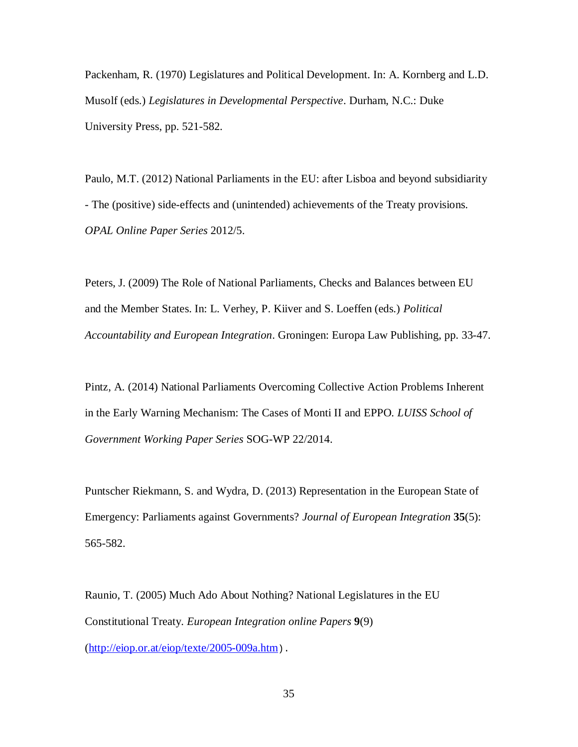Packenham, R. (1970) Legislatures and Political Development. In: A. Kornberg and L.D. Musolf (eds.) *Legislatures in Developmental Perspective*. Durham, N.C.: Duke University Press, pp. 521-582.

Paulo, M.T. (2012) National Parliaments in the EU: after Lisboa and beyond subsidiarity - The (positive) side-effects and (unintended) achievements of the Treaty provisions. *OPAL Online Paper Series* 2012/5.

Peters, J. (2009) The Role of National Parliaments, Checks and Balances between EU and the Member States. In: L. Verhey, P. Kiiver and S. Loeffen (eds.) *Political Accountability and European Integration*. Groningen: Europa Law Publishing, pp. 33-47.

Pintz, A. (2014) National Parliaments Overcoming Collective Action Problems Inherent in the Early Warning Mechanism: The Cases of Monti II and EPPO. *LUISS School of Government Working Paper Series* SOG-WP 22/2014.

Puntscher Riekmann, S. and Wydra, D. (2013) Representation in the European State of Emergency: Parliaments against Governments? *Journal of European Integration* **35**(5): 565-582.

Raunio, T. (2005) Much Ado About Nothing? National Legislatures in the EU Constitutional Treaty. *European Integration online Papers* **9**(9) (<http://eiop.or.at/eiop/texte/2005-009a.htm>).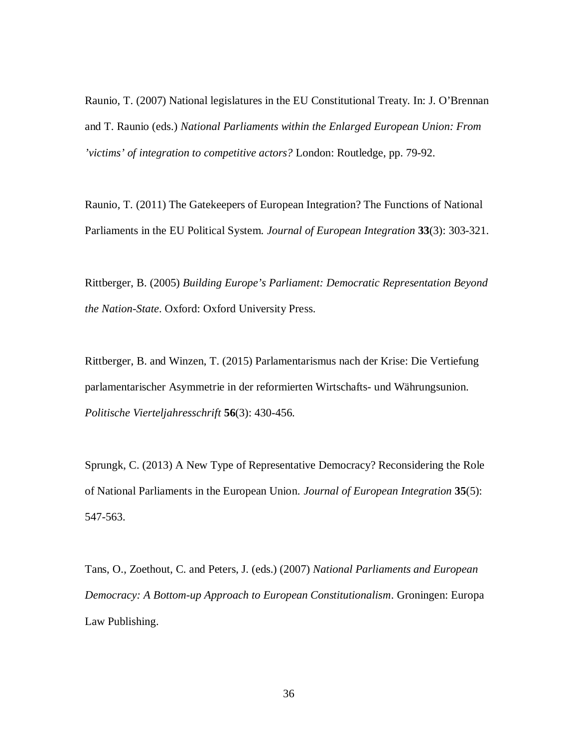Raunio, T. (2007) National legislatures in the EU Constitutional Treaty. In: J. O'Brennan and T. Raunio (eds.) *National Parliaments within the Enlarged European Union: From 'victims' of integration to competitive actors?* London: Routledge, pp. 79-92.

Raunio, T. (2011) The Gatekeepers of European Integration? The Functions of National Parliaments in the EU Political System. *Journal of European Integration* **33**(3): 303-321.

Rittberger, B. (2005) *Building Europe's Parliament: Democratic Representation Beyond the Nation-State*. Oxford: Oxford University Press.

Rittberger, B. and Winzen, T. (2015) Parlamentarismus nach der Krise: Die Vertiefung parlamentarischer Asymmetrie in der reformierten Wirtschafts- und Währungsunion. *Politische Vierteljahresschrift* **56**(3): 430-456.

Sprungk, C. (2013) A New Type of Representative Democracy? Reconsidering the Role of National Parliaments in the European Union. *Journal of European Integration* **35**(5): 547-563.

Tans, O., Zoethout, C. and Peters, J. (eds.) (2007) *National Parliaments and European Democracy: A Bottom-up Approach to European Constitutionalism*. Groningen: Europa Law Publishing.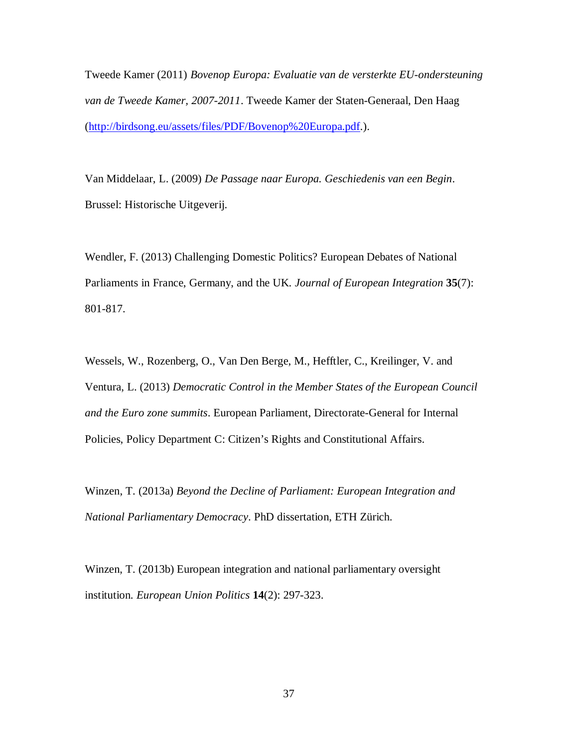Tweede Kamer (2011) *Bovenop Europa: Evaluatie van de versterkte EU-ondersteuning van de Tweede Kamer, 2007-2011*. Tweede Kamer der Staten-Generaal, Den Haag ([http://birdsong.eu/assets/files/PDF/Bovenop%20Europa.pdf.](http://birdsong.eu/assets/files/PDF/Bovenop%20Europa.pdf)).

Van Middelaar, L. (2009) *De Passage naar Europa. Geschiedenis van een Begin*. Brussel: Historische Uitgeverij.

Wendler, F. (2013) Challenging Domestic Politics? European Debates of National Parliaments in France, Germany, and the UK. *Journal of European Integration* **35**(7): 801-817.

Wessels, W., Rozenberg, O., Van Den Berge, M., Hefftler, C., Kreilinger, V. and Ventura, L. (2013) *Democratic Control in the Member States of the European Council and the Euro zone summits*. European Parliament, Directorate-General for Internal Policies, Policy Department C: Citizen's Rights and Constitutional Affairs.

Winzen, T. (2013a) *Beyond the Decline of Parliament: European Integration and National Parliamentary Democracy*. PhD dissertation, ETH Zürich.

Winzen, T. (2013b) European integration and national parliamentary oversight institution. *European Union Politics* **14**(2): 297-323.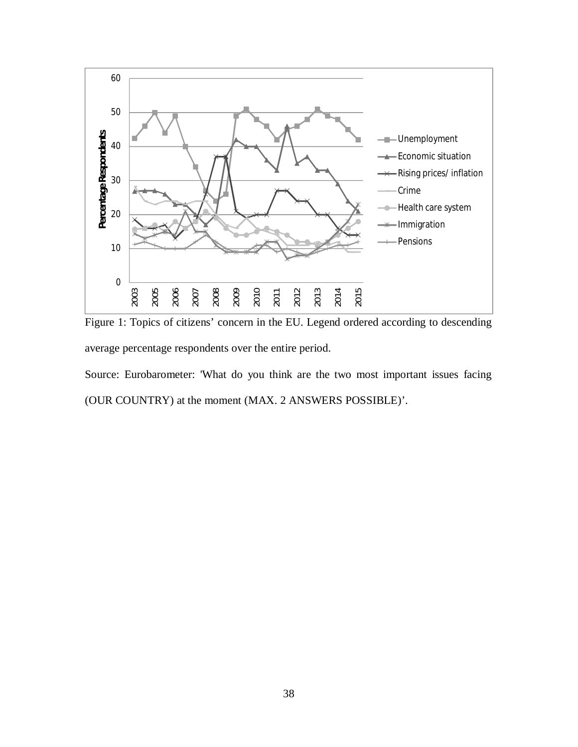

Figure 1: Topics of citizens' concern in the EU. Legend ordered according to descending average percentage respondents over the entire period.

Source: Eurobarometer: 'What do you think are the two most important issues facing (OUR COUNTRY) at the moment (MAX. 2 ANSWERS POSSIBLE)'.